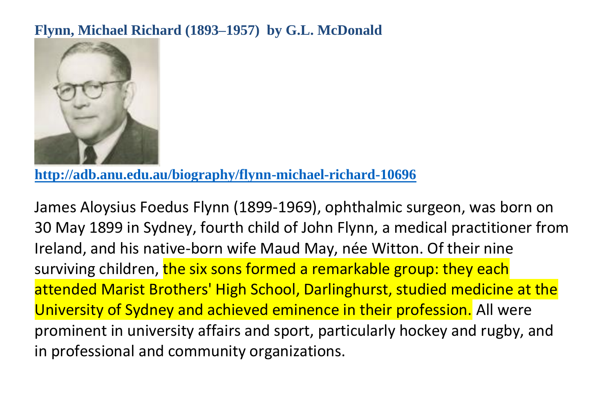## **Flynn, Michael Richard (1893–1957) by G.L. McDonald**



**<http://adb.anu.edu.au/biography/flynn-michael-richard-10696>**

James Aloysius Foedus Flynn (1899-1969), ophthalmic surgeon, was born on 30 May 1899 in Sydney, fourth child of John Flynn, a medical practitioner from Ireland, and his native-born wife Maud May, née Witton. Of their nine surviving children, the six sons formed a remarkable group: they each attended Marist Brothers' High School, Darlinghurst, studied medicine at the University of Sydney and achieved eminence in their profession. All were prominent in university affairs and sport, particularly hockey and rugby, and in professional and community organizations.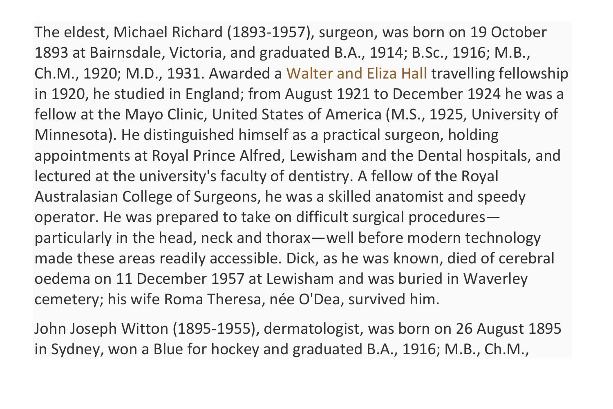The eldest, Michael Richard (1893-1957), surgeon, was born on 19 October 1893 at Bairnsdale, Victoria, and graduated B.A., 1914; B.Sc., 1916; M.B., Ch.M., 1920; M.D., 1931. Awarded a [Walter and Eliza Hall](https://adb.anu.edu.au/biography/hall-walter-russell-454) travelling fellowship in 1920, he studied in England; from August 1921 to December 1924 he was a fellow at the Mayo Clinic, United States of America (M.S., 1925, University of Minnesota). He distinguished himself as a practical surgeon, holding appointments at Royal Prince Alfred, Lewisham and the Dental hospitals, and lectured at the university's faculty of dentistry. A fellow of the Royal Australasian College of Surgeons, he was a skilled anatomist and speedy operator. He was prepared to take on difficult surgical procedures particularly in the head, neck and thorax—well before modern technology made these areas readily accessible. Dick, as he was known, died of cerebral oedema on 11 December 1957 at Lewisham and was buried in Waverley cemetery; his wife Roma Theresa, née O'Dea, survived him.

John Joseph Witton (1895-1955), dermatologist, was born on 26 August 1895 in Sydney, won a Blue for hockey and graduated B.A., 1916; M.B., Ch.M.,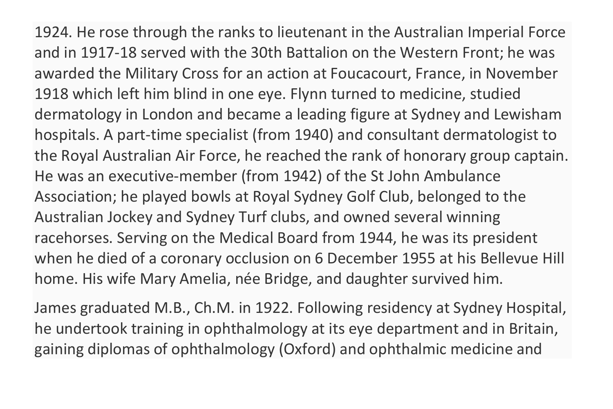1924. He rose through the ranks to lieutenant in the Australian Imperial Force and in 1917-18 served with the 30th Battalion on the Western Front; he was awarded the Military Cross for an action at Foucacourt, France, in November 1918 which left him blind in one eye. Flynn turned to medicine, studied dermatology in London and became a leading figure at Sydney and Lewisham hospitals. A part-time specialist (from 1940) and consultant dermatologist to the Royal Australian Air Force, he reached the rank of honorary group captain. He was an executive-member (from 1942) of the St John Ambulance Association; he played bowls at Royal Sydney Golf Club, belonged to the Australian Jockey and Sydney Turf clubs, and owned several winning racehorses. Serving on the Medical Board from 1944, he was its president when he died of a coronary occlusion on 6 December 1955 at his Bellevue Hill home. His wife Mary Amelia, née Bridge, and daughter survived him.

James graduated M.B., Ch.M. in 1922. Following residency at Sydney Hospital, he undertook training in ophthalmology at its eye department and in Britain, gaining diplomas of ophthalmology (Oxford) and ophthalmic medicine and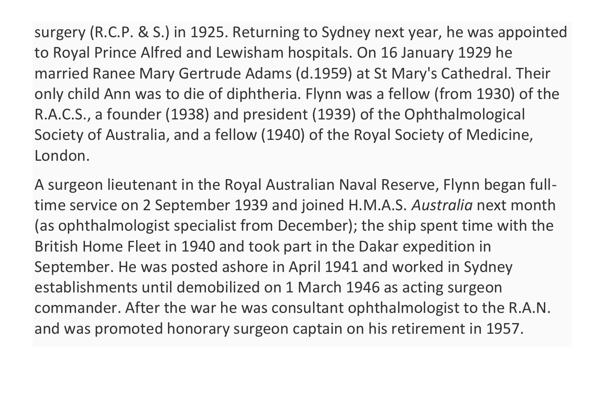surgery (R.C.P. & S.) in 1925. Returning to Sydney next year, he was appointed to Royal Prince Alfred and Lewisham hospitals. On 16 January 1929 he married Ranee Mary Gertrude Adams (d.1959) at St Mary's Cathedral. Their only child Ann was to die of diphtheria. Flynn was a fellow (from 1930) of the R.A.C.S., a founder (1938) and president (1939) of the Ophthalmological Society of Australia, and a fellow (1940) of the Royal Society of Medicine, London.

A surgeon lieutenant in the Royal Australian Naval Reserve, Flynn began fulltime service on 2 September 1939 and joined H.M.A.S. *Australia* next month (as ophthalmologist specialist from December); the ship spent time with the British Home Fleet in 1940 and took part in the Dakar expedition in September. He was posted ashore in April 1941 and worked in Sydney establishments until demobilized on 1 March 1946 as acting surgeon commander. After the war he was consultant ophthalmologist to the R.A.N. and was promoted honorary surgeon captain on his retirement in 1957.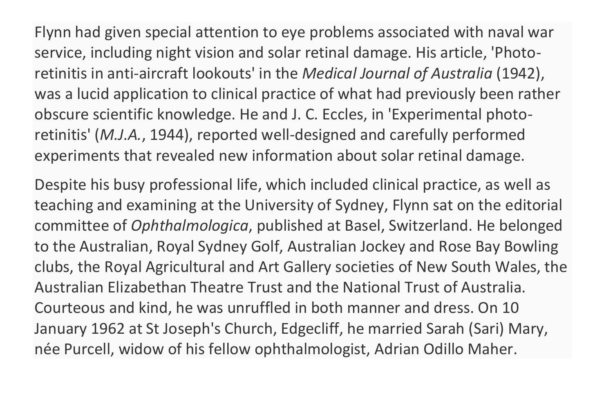Flynn had given special attention to eye problems associated with naval war service, including night vision and solar retinal damage. His article, 'Photoretinitis in anti-aircraft lookouts' in the *Medical Journal of Australia* (1942), was a lucid application to clinical practice of what had previously been rather obscure scientific knowledge. He and J. C. Eccles, in 'Experimental photoretinitis' (*M.J.A.*, 1944), reported well-designed and carefully performed experiments that revealed new information about solar retinal damage.

Despite his busy professional life, which included clinical practice, as well as teaching and examining at the University of Sydney, Flynn sat on the editorial committee of *Ophthalmologica*, published at Basel, Switzerland. He belonged to the Australian, Royal Sydney Golf, Australian Jockey and Rose Bay Bowling clubs, the Royal Agricultural and Art Gallery societies of New South Wales, the Australian Elizabethan Theatre Trust and the National Trust of Australia. Courteous and kind, he was unruffled in both manner and dress. On 10 January 1962 at St Joseph's Church, Edgecliff, he married Sarah (Sari) Mary, née Purcell, widow of his fellow ophthalmologist, Adrian Odillo Maher.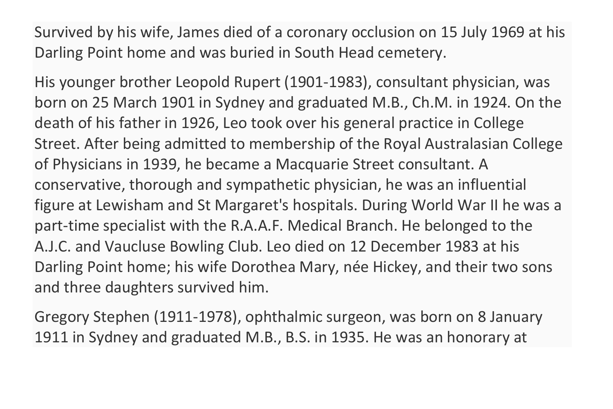Survived by his wife, James died of a coronary occlusion on 15 July 1969 at his Darling Point home and was buried in South Head cemetery.

His younger brother Leopold Rupert (1901-1983), consultant physician, was born on 25 March 1901 in Sydney and graduated M.B., Ch.M. in 1924. On the death of his father in 1926, Leo took over his general practice in College Street. After being admitted to membership of the Royal Australasian College of Physicians in 1939, he became a Macquarie Street consultant. A conservative, thorough and sympathetic physician, he was an influential figure at Lewisham and St Margaret's hospitals. During World War II he was a part-time specialist with the R.A.A.F. Medical Branch. He belonged to the A.J.C. and Vaucluse Bowling Club. Leo died on 12 December 1983 at his Darling Point home; his wife Dorothea Mary, née Hickey, and their two sons and three daughters survived him.

Gregory Stephen (1911-1978), ophthalmic surgeon, was born on 8 January 1911 in Sydney and graduated M.B., B.S. in 1935. He was an honorary at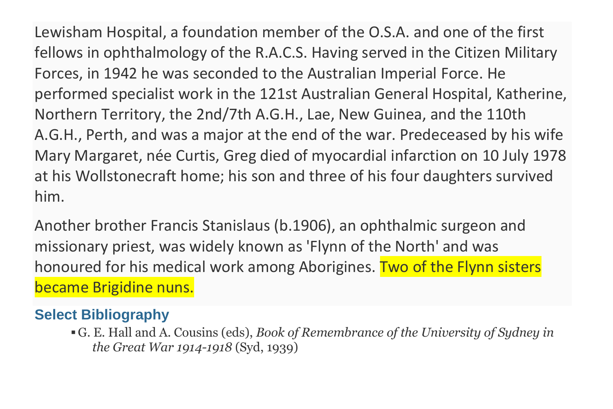Lewisham Hospital, a foundation member of the O.S.A. and one of the first fellows in ophthalmology of the R.A.C.S. Having served in the Citizen Military Forces, in 1942 he was seconded to the Australian Imperial Force. He performed specialist work in the 121st Australian General Hospital, Katherine, Northern Territory, the 2nd/7th A.G.H., Lae, New Guinea, and the 110th A.G.H., Perth, and was a major at the end of the war. Predeceased by his wife Mary Margaret, née Curtis, Greg died of myocardial infarction on 10 July 1978 at his Wollstonecraft home; his son and three of his four daughters survived him.

Another brother Francis Stanislaus (b.1906), an ophthalmic surgeon and missionary priest, was widely known as 'Flynn of the North' and was honoured for his medical work among Aborigines. Two of the Flynn sisters became Brigidine nuns.

## **Select Bibliography**

▪G. E. Hall and A. Cousins (eds), *Book of Remembrance of the University of Sydney in the Great War 1914-1918* (Syd, 1939)